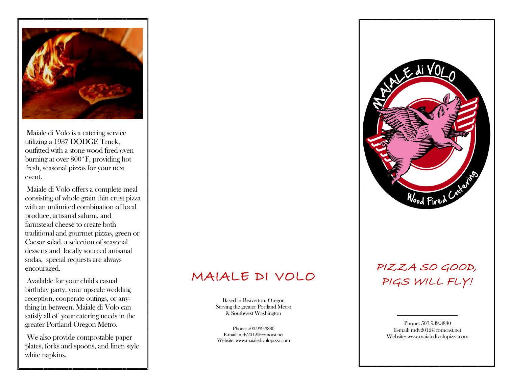

Maiale di Volo is a catering service utilizing a 1937 DODGE Truck, outfitted with a stone wood fired oven burning at over 800\*F, providing hot fresh, seasonal pizzas for your next event.

Maiale di Volo offers a complete meal consisting of whole grain thin crust pizza with an unlimited combination of local produce, artisanal salumi, and farmstead cheese to create both traditional and gourmet pizzas, green or Caesar salad, a selection of seasonal desserts and locally sourced artisanal sodas, special requests are always encouraged.

Available for your child's casual birthday party, your upscale wedding reception, cooperate outings, or anything in between. Maiale di Volo can satisfy all of your catering needs in the greater Portland Oregon Metro.

We also provide compostable paper plates, forks and spoons, and linen style white napkins.

# MAIALE DI VOLO

Based in Beaverton, Oregon Serving the greater Portland Metro & Southwest Washington

Phone: 503.939.3880 E -mail: mdv2012@comcast.net Website: www.maialedivolopizza.com



## PIZZA SO GOOD, PIGS WILL FLY!

Phone: 503.939.3880 E -mail: mdv2012@comcast.net Website: www.maialedivolopizza.com